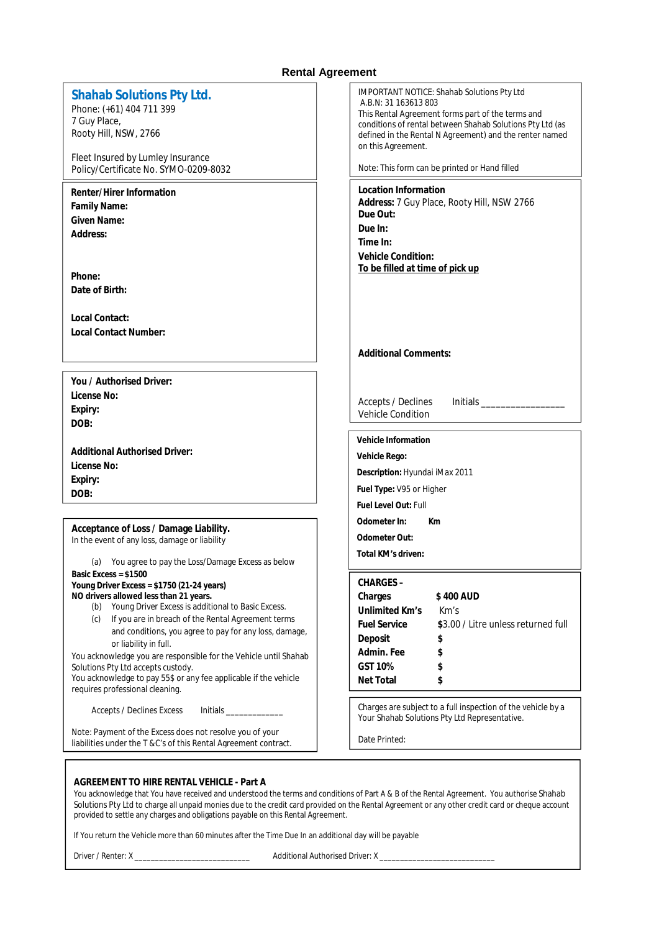# **Rental Agreement**

| Shahab Solutions Pty Ltd.<br>Phone: (+61) 404 711 399<br>7 Guy Place,<br>Rooty Hill, NSW, 2766<br>Fleet Insured by Lumley Insurance<br>Policy/Certificate No. SYMO-0209-8032                                                                                                                                                                                                                                                                                                                                                              | <b>IMPORTANT NOTICE: Shahab Solutions Pty Ltd</b><br>A.B.N: 31 163613 803<br>This Rental Agreement forms part of the terms and<br>conditions of rental between Shahab Solutions Pty Ltd (as<br>defined in the Rental N Agreement) and the renter named<br>on this Agreement.<br>Note: This form can be printed or Hand filled |
|-------------------------------------------------------------------------------------------------------------------------------------------------------------------------------------------------------------------------------------------------------------------------------------------------------------------------------------------------------------------------------------------------------------------------------------------------------------------------------------------------------------------------------------------|-------------------------------------------------------------------------------------------------------------------------------------------------------------------------------------------------------------------------------------------------------------------------------------------------------------------------------|
| Renter/Hirer Information<br>Family Name:<br>Given Name:<br>Address:<br>Phone:<br>Date of Birth:                                                                                                                                                                                                                                                                                                                                                                                                                                           | Location Information<br>Address: 7 Guy Place, Rooty Hill, NSW 2766<br>Due Out:<br>Due In:<br>Time In:<br><b>Vehicle Condition:</b><br>To be filled at time of pick up                                                                                                                                                         |
| Local Contact:<br><b>Local Contact Number:</b>                                                                                                                                                                                                                                                                                                                                                                                                                                                                                            | <b>Additional Comments:</b>                                                                                                                                                                                                                                                                                                   |
| You / Authorised Driver:<br>License No:<br>Expiry:<br>DOB:                                                                                                                                                                                                                                                                                                                                                                                                                                                                                | <b>Accepts / Declines</b><br>Vehicle Condition                                                                                                                                                                                                                                                                                |
| <b>Additional Authorised Driver:</b><br>License No:<br>Expiry:<br>DOB:                                                                                                                                                                                                                                                                                                                                                                                                                                                                    | Vehicle Information<br>Vehicle Rego:<br>Description: Hyundai iMax 2011<br>Fuel Type: V95 or Higher<br>Fuel Level Out: Full                                                                                                                                                                                                    |
| Acceptance of Loss / Damage Liability.<br>In the event of any loss, damage or liability<br>(a) You agree to pay the Loss/Damage Excess as below                                                                                                                                                                                                                                                                                                                                                                                           | Odometer In:<br>Km<br>Odometer Out:<br>Total KM's driven:                                                                                                                                                                                                                                                                     |
| Basic Excess = $$1500$<br>Young Driver Excess = \$1750 (21-24 years)<br>NO drivers allowed less than 21 years.<br>(b) Young Driver Excess is additional to Basic Excess.<br>If you are in breach of the Rental Agreement terms<br>(c)<br>and conditions, you agree to pay for any loss, damage,<br>or liability in full.<br>You acknowledge you are responsible for the Vehicle until Shahab<br>Solutions Pty Ltd accepts custody.<br>You acknowledge to pay 55\$ or any fee applicable if the vehicle<br>requires professional cleaning. | CHARGES-<br>Charges<br>\$400 AUD<br>Unlimited Km's<br>Km's<br><b>Fuel Service</b><br>\$3.00 / Litre unless returned full<br>Deposit<br>\$<br>Admin. Fee<br>\$<br>GST 10%<br>\$<br>Net Total<br>\$                                                                                                                             |
| <b>Accepts / Declines Excess</b>                                                                                                                                                                                                                                                                                                                                                                                                                                                                                                          | Charges are subject to a full inspection of the vehicle by a<br>Your Shahab Solutions Pty Ltd Representative.                                                                                                                                                                                                                 |
| Note: Payment of the Excess does not resolve you of your<br>liabilities under the T & C's of this Rental Agreement contract.                                                                                                                                                                                                                                                                                                                                                                                                              | Date Printed:                                                                                                                                                                                                                                                                                                                 |

## **AGREEMENT TO HIRE RENTAL VEHICLE - Part A**

You acknowledge that You have received and understood the terms and conditions of Part A & B of the Rental Agreement. You authorise Shahab Solutions Pty Ltd to charge all unpaid monies due to the credit card provided on the Rental Agreement or any other credit card or cheque account provided to settle any charges and obligations payable on this Rental Agreement.

If You return the Vehicle more than 60 minutes after the Time Due In an additional day will be payable

Driver / Renter: X \_\_\_\_\_\_\_\_\_\_\_\_\_\_\_\_\_\_\_\_\_\_\_\_\_\_\_\_ Additional Authorised Driver: X \_\_\_\_\_\_\_\_\_\_\_\_\_\_\_\_\_\_\_\_\_\_\_\_\_\_\_\_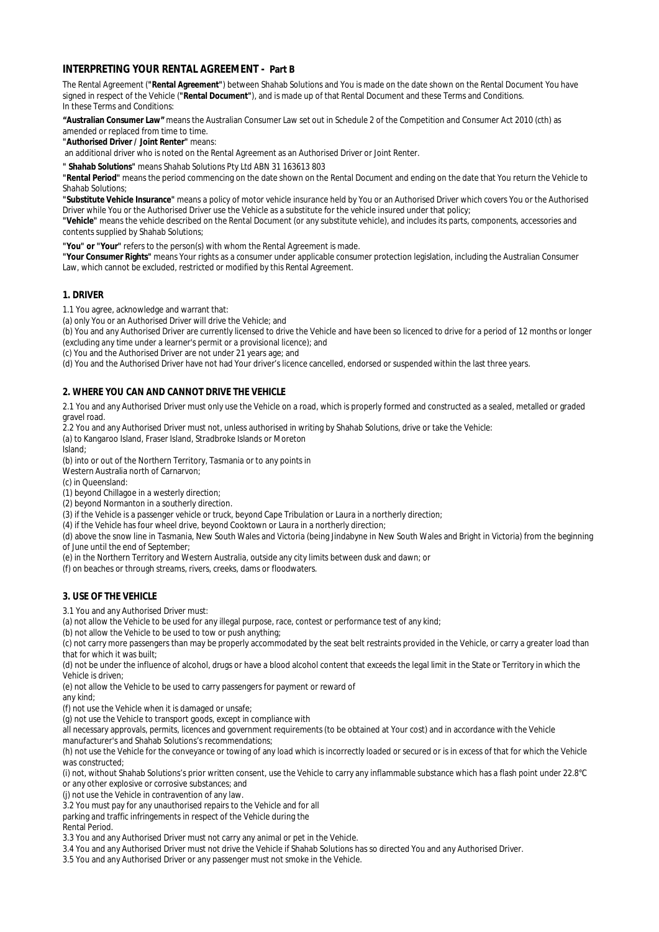## **INTERPRETING YOUR RENTAL AGREEMENT - Part B**

The Rental Agreement (**"Rental Agreement"**) between Shahab Solutions and You is made on the date shown on the Rental Document You have signed in respect of the Vehicle (**"Rental Document"**), and is made up of that Rental Document and these Terms and Conditions. In these Terms and Conditions:

**"Australian Consumer Law"** means the Australian Consumer Law set out in Schedule 2 of the Competition and Consumer Act 2010 (cth) as amended or replaced from time to time.

**"Authorised Driver / Joint Renter"** means:

an additional driver who is noted on the Rental Agreement as an Authorised Driver or Joint Renter.

**" Shahab Solutions"** means Shahab Solutions Pty Ltd ABN 31 163613 803

**"Rental Period"** means the period commencing on the date shown on the Rental Document and ending on the date that You return the Vehicle to Shahab Solutions;

**"Substitute Vehicle Insurance"** means a policy of motor vehicle insurance held by You or an Authorised Driver which covers You or the Authorised Driver while You or the Authorised Driver use the Vehicle as a substitute for the vehicle insured under that policy;

**"Vehicle"** means the vehicle described on the Rental Document (or any substitute vehicle), and includes its parts, components, accessories and contents supplied by Shahab Solutions;

**"You" or "Your"** refers to the person(s) with whom the Rental Agreement is made.

**"Your Consumer Rights"** means Your rights as a consumer under applicable consumer protection legislation, including the Australian Consumer Law, which cannot be excluded, restricted or modified by this Rental Agreement.

## **1. DRIVER**

1.1 You agree, acknowledge and warrant that:

(a) only You or an Authorised Driver will drive the Vehicle; and

(b) You and any Authorised Driver are currently licensed to drive the Vehicle and have been so licenced to drive for a period of 12 months or longer (excluding any time under a learner's permit or a provisional licence); and

(c) You and the Authorised Driver are not under 21 years age; and

(d) You and the Authorised Driver have not had Your driver's licence cancelled, endorsed or suspended within the last three years.

## **2. WHERE YOU CAN AND CANNOT DRIVE THE VEHICLE**

2.1 You and any Authorised Driver must only use the Vehicle on a road, which is properly formed and constructed as a sealed, metalled or graded gravel road.

2.2 You and any Authorised Driver must not, unless authorised in writing by Shahab Solutions, drive or take the Vehicle:

(a) to Kangaroo Island, Fraser Island, Stradbroke Islands or Moreton

Island;

(b) into or out of the Northern Territory, Tasmania or to any points in

Western Australia north of Carnarvon;

(c) in Queensland:

(1) beyond Chillagoe in a westerly direction;

(2) beyond Normanton in a southerly direction.

(3) if the Vehicle is a passenger vehicle or truck, beyond Cape Tribulation or Laura in a northerly direction;

(4) if the Vehicle has four wheel drive, beyond Cooktown or Laura in a northerly direction;

(d) above the snow line in Tasmania, New South Wales and Victoria (being Jindabyne in New South Wales and Bright in Victoria) from the beginning of June until the end of September;

(e) in the Northern Territory and Western Australia, outside any city limits between dusk and dawn; or

(f) on beaches or through streams, rivers, creeks, dams or floodwaters.

## **3. USE OF THE VEHICLE**

3.1 You and any Authorised Driver must:

(a) not allow the Vehicle to be used for any illegal purpose, race, contest or performance test of any kind;

(b) not allow the Vehicle to be used to tow or push anything;

(c) not carry more passengers than may be properly accommodated by the seat belt restraints provided in the Vehicle, or carry a greater load than that for which it was built;

(d) not be under the influence of alcohol, drugs or have a blood alcohol content that exceeds the legal limit in the State or Territory in which the Vehicle is driven;

(e) not allow the Vehicle to be used to carry passengers for payment or reward of

any kind;

(f) not use the Vehicle when it is damaged or unsafe;

(g) not use the Vehicle to transport goods, except in compliance with

all necessary approvals, permits, licences and government requirements (to be obtained at Your cost) and in accordance with the Vehicle

manufacturer's and Shahab Solutions's recommendations;

(h) not use the Vehicle for the conveyance or towing of any load which is incorrectly loaded or secured or is in excess of that for which the Vehicle was constructed;

(i) not, without Shahab Solutions's prior written consent, use the Vehicle to carry any inflammable substance which has a flash point under 22.8°C or any other explosive or corrosive substances; and

(j) not use the Vehicle in contravention of any law.

3.2 You must pay for any unauthorised repairs to the Vehicle and for all

parking and traffic infringements in respect of the Vehicle during the

Rental Period.

3.3 You and any Authorised Driver must not carry any animal or pet in the Vehicle.

3.4 You and any Authorised Driver must not drive the Vehicle if Shahab Solutions has so directed You and any Authorised Driver.

3.5 You and any Authorised Driver or any passenger must not smoke in the Vehicle.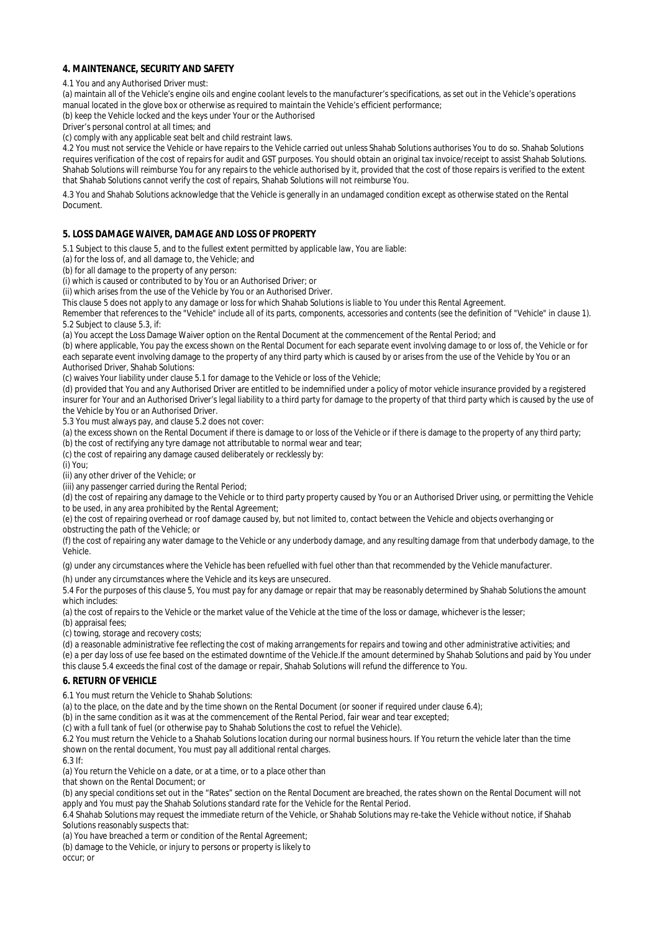## **4. MAINTENANCE, SECURITY AND SAFETY**

4.1 You and any Authorised Driver must:

(a) maintain all of the Vehicle's engine oils and engine coolant levels to the manufacturer's specifications, as set out in the Vehicle's operations manual located in the glove box or otherwise as required to maintain the Vehicle's efficient performance;

(b) keep the Vehicle locked and the keys under Your or the Authorised

Driver's personal control at all times; and

(c) comply with any applicable seat belt and child restraint laws.

4.2 You must not service the Vehicle or have repairs to the Vehicle carried out unless Shahab Solutions authorises You to do so. Shahab Solutions requires verification of the cost of repairs for audit and GST purposes. You should obtain an original tax invoice/receipt to assist Shahab Solutions. Shahab Solutions will reimburse You for any repairs to the vehicle authorised by it, provided that the cost of those repairs is verified to the extent that Shahab Solutions cannot verify the cost of repairs, Shahab Solutions will not reimburse You.

4.3 You and Shahab Solutions acknowledge that the Vehicle is generally in an undamaged condition except as otherwise stated on the Rental Document.

#### **5. LOSS DAMAGE WAIVER, DAMAGE AND LOSS OF PROPERTY**

5.1 Subject to this clause 5, and to the fullest extent permitted by applicable law, You are liable:

(a) for the loss of, and all damage to, the Vehicle; and

(b) for all damage to the property of any person:

(i) which is caused or contributed to by You or an Authorised Driver; or

(ii) which arises from the use of the Vehicle by You or an Authorised Driver.

This clause 5 does not apply to any damage or loss for which Shahab Solutions is liable to You under this Rental Agreement.

*Remember that references to the "Vehicle" include all of its parts, components, accessories and contents (see the definition of "Vehicle" in clause 1).* 5.2 Subject to clause 5.3, if:

(a) You accept the Loss Damage Waiver option on the Rental Document at the commencement of the Rental Period; and

(b) where applicable, You pay the excess shown on the Rental Document for each separate event involving damage to or loss of, the Vehicle or for each separate event involving damage to the property of any third party which is caused by or arises from the use of the Vehicle by You or an Authorised Driver, Shahab Solutions:

(c) waives Your liability under clause 5.1 for damage to the Vehicle or loss of the Vehicle;

(d) provided that You and any Authorised Driver are entitled to be indemnified under a policy of motor vehicle insurance provided by a registered insurer for Your and an Authorised Driver's legal liability to a third party for damage to the property of that third party which is caused by the use of the Vehicle by You or an Authorised Driver.

5.3 You must always pay, and clause 5.2 does not cover:

(a) the excess shown on the Rental Document if there is damage to or loss of the Vehicle or if there is damage to the property of any third party;

(b) the cost of rectifying any tyre damage not attributable to normal wear and tear;

(c) the cost of repairing any damage caused deliberately or recklessly by:

(i) You;

(ii) any other driver of the Vehicle; or

(iii) any passenger carried during the Rental Period;

(d) the cost of repairing any damage to the Vehicle or to third party property caused by You or an Authorised Driver using, or permitting the Vehicle to be used, in any area prohibited by the Rental Agreement;

(e) the cost of repairing overhead or roof damage caused by, but not limited to, contact between the Vehicle and objects overhanging or obstructing the path of the Vehicle; or

(f) the cost of repairing any water damage to the Vehicle or any underbody damage, and any resulting damage from that underbody damage, to the Vehicle.

(g) under any circumstances where the Vehicle has been refuelled with fuel other than that recommended by the Vehicle manufacturer.

(h) under any circumstances where the Vehicle and its keys are unsecured.

5.4 For the purposes of this clause 5, You must pay for any damage or repair that may be reasonably determined by Shahab Solutions the amount which includes:

(a) the cost of repairs to the Vehicle or the market value of the Vehicle at the time of the loss or damage, whichever is the lesser;

(b) appraisal fees;

(c) towing, storage and recovery costs;

(d) a reasonable administrative fee reflecting the cost of making arrangements for repairs and towing and other administrative activities; and (e) a per day loss of use fee based on the estimated downtime of the Vehicle.If the amount determined by Shahab Solutions and paid by You under

this clause 5.4 exceeds the final cost of the damage or repair, Shahab Solutions will refund the difference to You.

#### **6. RETURN OF VEHICLE**

6.1 You must return the Vehicle to Shahab Solutions:

(a) to the place, on the date and by the time shown on the Rental Document (or sooner if required under clause 6.4);

(b) in the same condition as it was at the commencement of the Rental Period, fair wear and tear excepted;

(c) with a full tank of fuel (or otherwise pay to Shahab Solutions the cost to refuel the Vehicle).

6.2 You must return the Vehicle to a Shahab Solutions location during our normal business hours. If You return the vehicle later than the time shown on the rental document, You must pay all additional rental charges.

6.3 If:

(a) You return the Vehicle on a date, or at a time, or to a place other than

that shown on the Rental Document; or

(b) any special conditions set out in the "Rates" section on the Rental Document are breached, the rates shown on the Rental Document will not apply and You must pay the Shahab Solutions standard rate for the Vehicle for the Rental Period.

6.4 Shahab Solutions may request the immediate return of the Vehicle, or Shahab Solutions may re-take the Vehicle without notice, if Shahab Solutions reasonably suspects that:

(a) You have breached a term or condition of the Rental Agreement;

(b) damage to the Vehicle, or injury to persons or property is likely to

occur; or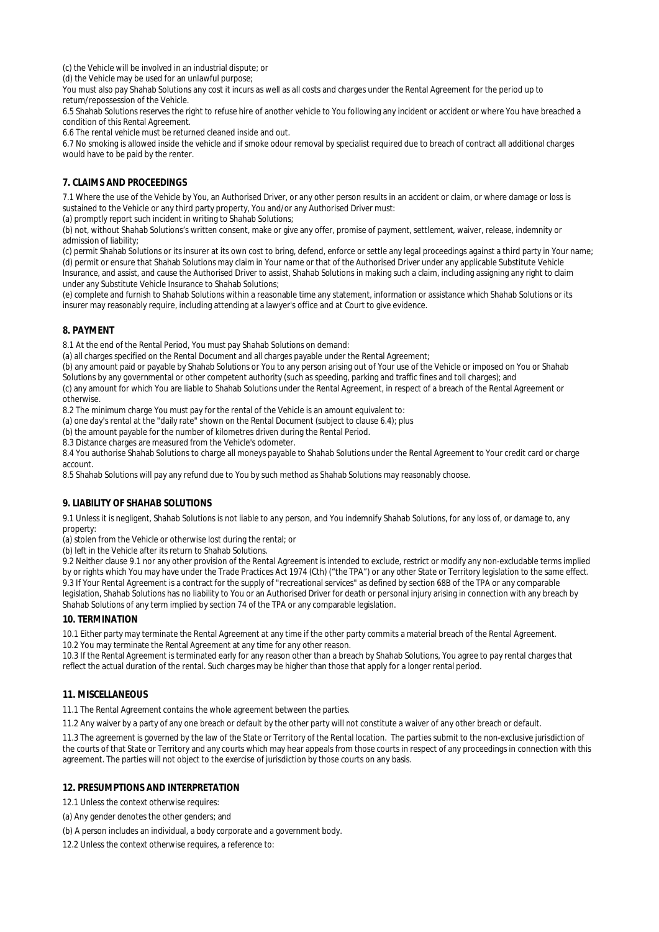(c) the Vehicle will be involved in an industrial dispute; or

(d) the Vehicle may be used for an unlawful purpose;

You must also pay Shahab Solutions any cost it incurs as well as all costs and charges under the Rental Agreement for the period up to return/repossession of the Vehicle.

6.5 Shahab Solutions reserves the right to refuse hire of another vehicle to You following any incident or accident or where You have breached a condition of this Rental Agreement.

6.6 The rental vehicle must be returned cleaned inside and out.

6.7 No smoking is allowed inside the vehicle and if smoke odour removal by specialist required due to breach of contract all additional charges would have to be paid by the renter.

## **7. CLAIMS AND PROCEEDINGS**

7.1 Where the use of the Vehicle by You, an Authorised Driver, or any other person results in an accident or claim, or where damage or loss is sustained to the Vehicle or any third party property, You and/or any Authorised Driver must:

(a) promptly report such incident in writing to Shahab Solutions;

(b) not, without Shahab Solutions's written consent, make or give any offer, promise of payment, settlement, waiver, release, indemnity or admission of liability;

(c) permit Shahab Solutions or its insurer at its own cost to bring, defend, enforce or settle any legal proceedings against a third party in Your name; (d) permit or ensure that Shahab Solutions may claim in Your name or that of the Authorised Driver under any applicable Substitute Vehicle Insurance, and assist, and cause the Authorised Driver to assist, Shahab Solutions in making such a claim, including assigning any right to claim

under any Substitute Vehicle Insurance to Shahab Solutions; (e) complete and furnish to Shahab Solutions within a reasonable time any statement, information or assistance which Shahab Solutions or its

insurer may reasonably require, including attending at a lawyer's office and at Court to give evidence.

## **8. PAYMENT**

8.1 At the end of the Rental Period, You must pay Shahab Solutions on demand:

(a) all charges specified on the Rental Document and all charges payable under the Rental Agreement;

(b) any amount paid or payable by Shahab Solutions or You to any person arising out of Your use of the Vehicle or imposed on You or Shahab

Solutions by any governmental or other competent authority (such as speeding, parking and traffic fines and toll charges); and

(c) any amount for which You are liable to Shahab Solutions under the Rental Agreement, in respect of a breach of the Rental Agreement or otherwise.

8.2 The minimum charge You must pay for the rental of the Vehicle is an amount equivalent to:

(a) one day's rental at the "daily rate" shown on the Rental Document (subject to clause 6.4); plus

(b) the amount payable for the number of kilometres driven during the Rental Period.

8.3 Distance charges are measured from the Vehicle's odometer.

8.4 You authorise Shahab Solutions to charge all moneys payable to Shahab Solutions under the Rental Agreement to Your credit card or charge account.

8.5 Shahab Solutions will pay any refund due to You by such method as Shahab Solutions may reasonably choose.

## **9. LIABILITY OF SHAHAB SOLUTIONS**

9.1 Unless it is negligent, Shahab Solutions is not liable to any person, and You indemnify Shahab Solutions, for any loss of, or damage to, any property:

(a) stolen from the Vehicle or otherwise lost during the rental; or

(b) left in the Vehicle after its return to Shahab Solutions.

9.2 Neither clause 9.1 nor any other provision of the Rental Agreement is intended to exclude, restrict or modify any non-excludable terms implied by or rights which You may have under the Trade Practices Act 1974 (Cth) ("the TPA") or any other State or Territory legislation to the same effect. 9.3 If Your Rental Agreement is a contract for the supply of "recreational services" as defined by section 68B of the TPA or any comparable legislation, Shahab Solutions has no liability to You or an Authorised Driver for death or personal injury arising in connection with any breach by Shahab Solutions of any term implied by section 74 of the TPA or any comparable legislation.

## **10. TERMINATION**

10.1 Either party may terminate the Rental Agreement at any time if the other party commits a material breach of the Rental Agreement.

10.2 You may terminate the Rental Agreement at any time for any other reason.

10.3 If the Rental Agreement is terminated early for any reason other than a breach by Shahab Solutions, You agree to pay rental charges that reflect the actual duration of the rental. Such charges may be higher than those that apply for a longer rental period.

## **11. MISCELLANEOUS**

11.1 The Rental Agreement contains the whole agreement between the parties.

11.2 Any waiver by a party of any one breach or default by the other party will not constitute a waiver of any other breach or default.

11.3 The agreement is governed by the law of the State or Territory of the Rental location. The parties submit to the non-exclusive jurisdiction of the courts of that State or Territory and any courts which may hear appeals from those courts in respect of any proceedings in connection with this agreement. The parties will not object to the exercise of jurisdiction by those courts on any basis.

## **12. PRESUMPTIONS AND INTERPRETATION**

12.1 Unless the context otherwise requires:

(a) Any gender denotes the other genders; and

(b) A person includes an individual, a body corporate and a government body.

12.2 Unless the context otherwise requires, a reference to: